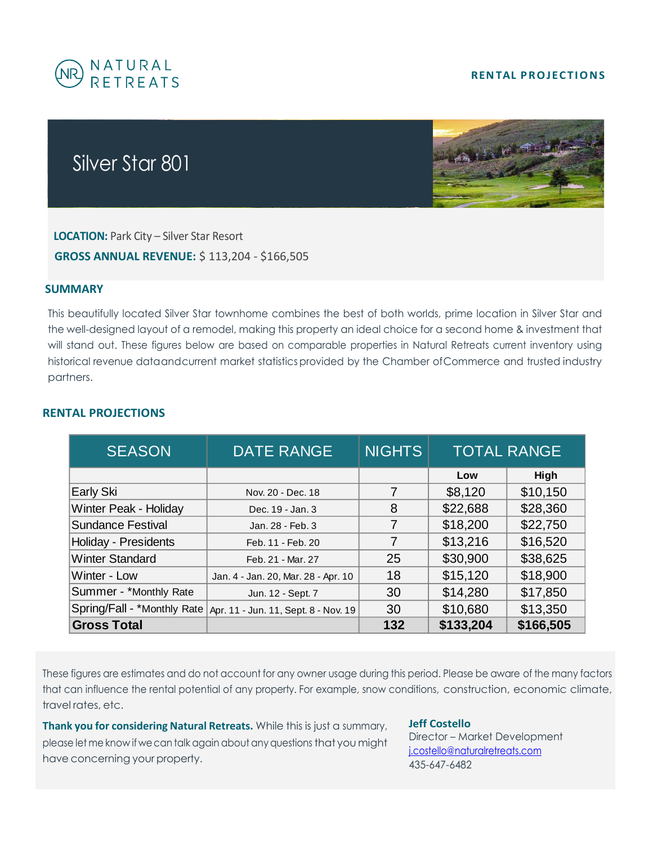## **RENTAL PROJECTIONS**



## Silver Star 801



 **LOCATION:** Park City – Silver Star Resort  **GROSS ANNUAL REVENUE:** \$ 113,204 - \$166,505

## **SUMMARY**

This beautifully located Silver Star townhome combines the best of both worlds, prime location in Silver Star and the well-designed layout of a remodel, making this property an ideal choice for a second home & investment that will stand out. These figures below are based on comparable properties in Natural Retreats current inventory using historical revenue dataandcurrent market statistics provided by the Chamber ofCommerce and trusted industry partners.

| <b>SEASON</b>            | <b>DATE RANGE</b>                                                  | <b>NIGHTS</b> | <b>TOTAL RANGE</b> |           |
|--------------------------|--------------------------------------------------------------------|---------------|--------------------|-----------|
|                          |                                                                    |               | Low                | High      |
| Early Ski                | Nov. 20 - Dec. 18                                                  |               | \$8,120            | \$10,150  |
| Winter Peak - Holiday    | Dec. 19 - Jan. 3                                                   | 8             | \$22,688           | \$28,360  |
| <b>Sundance Festival</b> | Jan. 28 - Feb. 3                                                   |               | \$18,200           | \$22,750  |
| Holiday - Presidents     | Feb. 11 - Feb. 20                                                  | 7             | \$13,216           | \$16,520  |
| <b>Winter Standard</b>   | Feb. 21 - Mar. 27                                                  | 25            | \$30,900           | \$38,625  |
| Winter - Low             | Jan. 4 - Jan. 20, Mar. 28 - Apr. 10                                | 18            | \$15,120           | \$18,900  |
| Summer - *Monthly Rate   | Jun. 12 - Sept. 7                                                  | 30            | \$14,280           | \$17,850  |
|                          | Spring/Fall - *Monthly Rate   Apr. 11 - Jun. 11, Sept. 8 - Nov. 19 | 30            | \$10,680           | \$13,350  |
| <b>Gross Total</b>       |                                                                    | 132           | \$133,204          | \$166,505 |

## **RENTAL PROJECTIONS**

These figures are estimates and do not account for any owner usage during this period. Please be aware of the many factors that can influence the rental potential of any property. For example, snow conditions, construction, economic climate, travel rates, etc.

**Thank you for considering Natural Retreats.** While this is just a summary, please let me know if wecan talk again aboutany questions that you might have concerning your property.

**Jeff Costello**

Director – Market Development [j.costello@naturalretreats.com](mailto:j.costello@naturalretreats.com) 435-647-6482